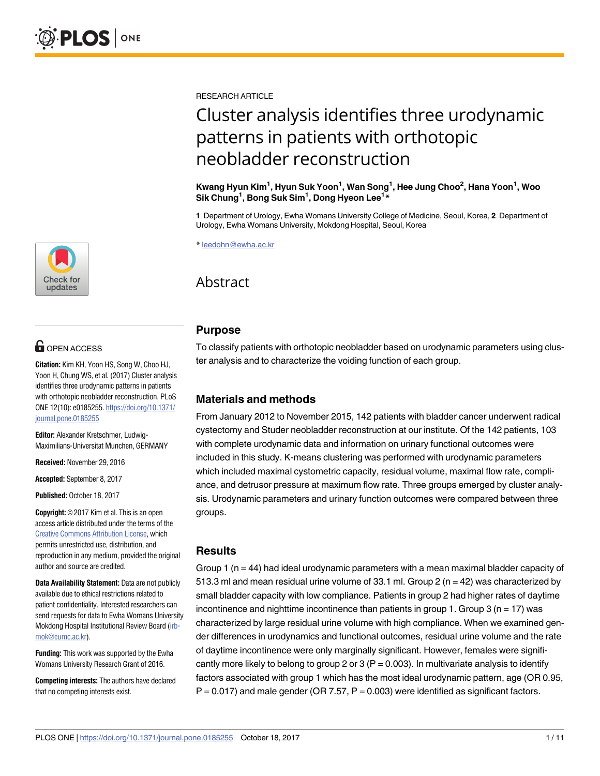RESEARCH ARTICLE

# Cluster analysis identifies three urodynamic patterns in patients with orthotopic neobladder reconstruction

**Kwang Hyun Kim1 , Hyun Suk Yoon1 , Wan Song1 , Hee Jung Choo2 , Hana Yoon1 , Woo Sik Chung1 , Bong Suk Sim1 , Dong Hyeon Lee1 \***

**1** Department of Urology, Ewha Womans University College of Medicine, Seoul, Korea, **2** Department of Urology, Ewha Womans University, Mokdong Hospital, Seoul, Korea

\* leedohn@ewha.ac.kr

## Abstract

#### **Purpose**

To classify patients with orthotopic neobladder based on urodynamic parameters using cluster analysis and to characterize the voiding function of each group.

#### **Materials and methods**

From January 2012 to November 2015, 142 patients with bladder cancer underwent radical cystectomy and Studer neobladder reconstruction at our institute. Of the 142 patients, 103 with complete urodynamic data and information on urinary functional outcomes were included in this study. K-means clustering was performed with urodynamic parameters which included maximal cystometric capacity, residual volume, maximal flow rate, compliance, and detrusor pressure at maximum flow rate. Three groups emerged by cluster analysis. Urodynamic parameters and urinary function outcomes were compared between three groups.

#### **Results**

Group 1 ( $n = 44$ ) had ideal urodynamic parameters with a mean maximal bladder capacity of 513.3 ml and mean residual urine volume of 33.1 ml. Group 2 ( $n = 42$ ) was characterized by small bladder capacity with low compliance. Patients in group 2 had higher rates of daytime incontinence and nighttime incontinence than patients in group 1. Group 3 ( $n = 17$ ) was characterized by large residual urine volume with high compliance. When we examined gender differences in urodynamics and functional outcomes, residual urine volume and the rate of daytime incontinence were only marginally significant. However, females were significantly more likely to belong to group 2 or 3 ( $P = 0.003$ ). In multivariate analysis to identify factors associated with group 1 which has the most ideal urodynamic pattern, age (OR 0.95,  $P = 0.017$ ) and male gender (OR 7.57,  $P = 0.003$ ) were identified as significant factors.



## **G** OPEN ACCESS

**Citation:** Kim KH, Yoon HS, Song W, Choo HJ, Yoon H, Chung WS, et al. (2017) Cluster analysis identifies three urodynamic patterns in patients with orthotopic neobladder reconstruction. PLoS ONE 12(10): e0185255. [https://doi.org/10.1371/](https://doi.org/10.1371/journal.pone.0185255) [journal.pone.0185255](https://doi.org/10.1371/journal.pone.0185255)

**Editor:** Alexander Kretschmer, Ludwig-Maximilians-Universitat Munchen, GERMANY

**Received:** November 29, 2016

**Accepted:** September 8, 2017

**Published:** October 18, 2017

**Copyright:** © 2017 Kim et al. This is an open access article distributed under the terms of the Creative Commons [Attribution](http://creativecommons.org/licenses/by/4.0/) License, which permits unrestricted use, distribution, and reproduction in any medium, provided the original author and source are credited.

**Data Availability Statement:** Data are not publicly available due to ethical restrictions related to patient confidentiality. Interested researchers can send requests for data to Ewha Womans University Mokdong Hospital Institutional Review Board ([irb](mailto:irb-mok@eumc.ac.kr)[mok@eumc.ac.kr](mailto:irb-mok@eumc.ac.kr)).

**Funding:** This work was supported by the Ewha Womans University Research Grant of 2016.

**Competing interests:** The authors have declared that no competing interests exist.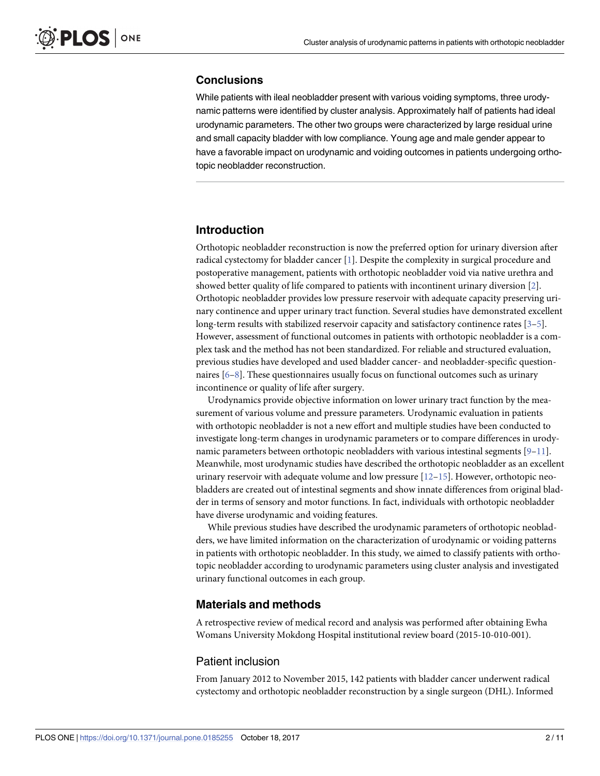### <span id="page-1-0"></span>**Conclusions**

While patients with ileal neobladder present with various voiding symptoms, three urodynamic patterns were identified by cluster analysis. Approximately half of patients had ideal urodynamic parameters. The other two groups were characterized by large residual urine and small capacity bladder with low compliance. Young age and male gender appear to have a favorable impact on urodynamic and voiding outcomes in patients undergoing orthotopic neobladder reconstruction.

#### **Introduction**

Orthotopic neobladder reconstruction is now the preferred option for urinary diversion after radical cystectomy for bladder cancer [\[1](#page-8-0)]. Despite the complexity in surgical procedure and postoperative management, patients with orthotopic neobladder void via native urethra and showed better quality of life compared to patients with incontinent urinary diversion [\[2](#page-8-0)]. Orthotopic neobladder provides low pressure reservoir with adequate capacity preserving urinary continence and upper urinary tract function. Several studies have demonstrated excellent long-term results with stabilized reservoir capacity and satisfactory continence rates [[3–5\]](#page-8-0). However, assessment of functional outcomes in patients with orthotopic neobladder is a complex task and the method has not been standardized. For reliable and structured evaluation, previous studies have developed and used bladder cancer- and neobladder-specific questionnaires [[6](#page-8-0)–[8](#page-9-0)]. These questionnaires usually focus on functional outcomes such as urinary incontinence or quality of life after surgery.

Urodynamics provide objective information on lower urinary tract function by the measurement of various volume and pressure parameters. Urodynamic evaluation in patients with orthotopic neobladder is not a new effort and multiple studies have been conducted to investigate long-term changes in urodynamic parameters or to compare differences in urodynamic parameters between orthotopic neobladders with various intestinal segments  $[9-11]$  $[9-11]$  $[9-11]$  $[9-11]$  $[9-11]$ . Meanwhile, most urodynamic studies have described the orthotopic neobladder as an excellent urinary reservoir with adequate volume and low pressure  $[12–15]$  $[12–15]$ . However, orthotopic neobladders are created out of intestinal segments and show innate differences from original bladder in terms of sensory and motor functions. In fact, individuals with orthotopic neobladder have diverse urodynamic and voiding features.

While previous studies have described the urodynamic parameters of orthotopic neobladders, we have limited information on the characterization of urodynamic or voiding patterns in patients with orthotopic neobladder. In this study, we aimed to classify patients with orthotopic neobladder according to urodynamic parameters using cluster analysis and investigated urinary functional outcomes in each group.

### **Materials and methods**

A retrospective review of medical record and analysis was performed after obtaining Ewha Womans University Mokdong Hospital institutional review board (2015-10-010-001).

#### Patient inclusion

From January 2012 to November 2015, 142 patients with bladder cancer underwent radical cystectomy and orthotopic neobladder reconstruction by a single surgeon (DHL). Informed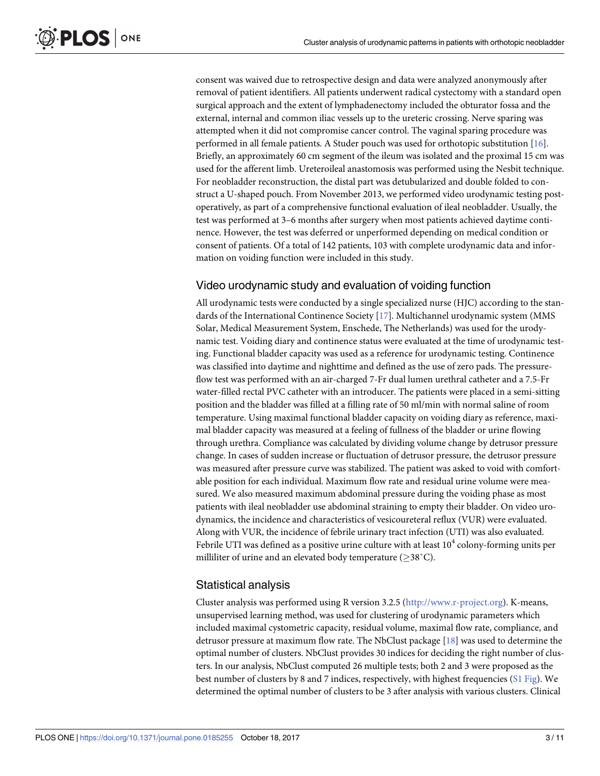<span id="page-2-0"></span>consent was waived due to retrospective design and data were analyzed anonymously after removal of patient identifiers. All patients underwent radical cystectomy with a standard open surgical approach and the extent of lymphadenectomy included the obturator fossa and the external, internal and common iliac vessels up to the ureteric crossing. Nerve sparing was attempted when it did not compromise cancer control. The vaginal sparing procedure was performed in all female patients. A Studer pouch was used for orthotopic substitution [[16](#page-9-0)]. Briefly, an approximately 60 cm segment of the ileum was isolated and the proximal 15 cm was used for the afferent limb. Ureteroileal anastomosis was performed using the Nesbit technique. For neobladder reconstruction, the distal part was detubularized and double folded to construct a U-shaped pouch. From November 2013, we performed video urodynamic testing postoperatively, as part of a comprehensive functional evaluation of ileal neobladder. Usually, the test was performed at 3–6 months after surgery when most patients achieved daytime continence. However, the test was deferred or unperformed depending on medical condition or consent of patients. Of a total of 142 patients, 103 with complete urodynamic data and information on voiding function were included in this study.

## Video urodynamic study and evaluation of voiding function

All urodynamic tests were conducted by a single specialized nurse (HJC) according to the standards of the International Continence Society [[17](#page-9-0)]. Multichannel urodynamic system (MMS Solar, Medical Measurement System, Enschede, The Netherlands) was used for the urodynamic test. Voiding diary and continence status were evaluated at the time of urodynamic testing. Functional bladder capacity was used as a reference for urodynamic testing. Continence was classified into daytime and nighttime and defined as the use of zero pads. The pressureflow test was performed with an air-charged 7-Fr dual lumen urethral catheter and a 7.5-Fr water-filled rectal PVC catheter with an introducer. The patients were placed in a semi-sitting position and the bladder was filled at a filling rate of 50 ml/min with normal saline of room temperature. Using maximal functional bladder capacity on voiding diary as reference, maximal bladder capacity was measured at a feeling of fullness of the bladder or urine flowing through urethra. Compliance was calculated by dividing volume change by detrusor pressure change. In cases of sudden increase or fluctuation of detrusor pressure, the detrusor pressure was measured after pressure curve was stabilized. The patient was asked to void with comfortable position for each individual. Maximum flow rate and residual urine volume were measured. We also measured maximum abdominal pressure during the voiding phase as most patients with ileal neobladder use abdominal straining to empty their bladder. On video urodynamics, the incidence and characteristics of vesicoureteral reflux (VUR) were evaluated. Along with VUR, the incidence of febrile urinary tract infection (UTI) was also evaluated. Febrile UTI was defined as a positive urine culture with at least  $10^4$  colony-forming units per milliliter of urine and an elevated body temperature ( $\geq$ 38°C).

## Statistical analysis

Cluster analysis was performed using R version 3.2.5 [\(http://www.r-project.org](http://www.r-project.org/)). K-means, unsupervised learning method, was used for clustering of urodynamic parameters which included maximal cystometric capacity, residual volume, maximal flow rate, compliance, and detrusor pressure at maximum flow rate. The NbClust package [\[18\]](#page-9-0) was used to determine the optimal number of clusters. NbClust provides 30 indices for deciding the right number of clusters. In our analysis, NbClust computed 26 multiple tests; both 2 and 3 were proposed as the best number of clusters by 8 and 7 indices, respectively, with highest frequencies (S1 [Fig\)](#page-8-0). We determined the optimal number of clusters to be 3 after analysis with various clusters. Clinical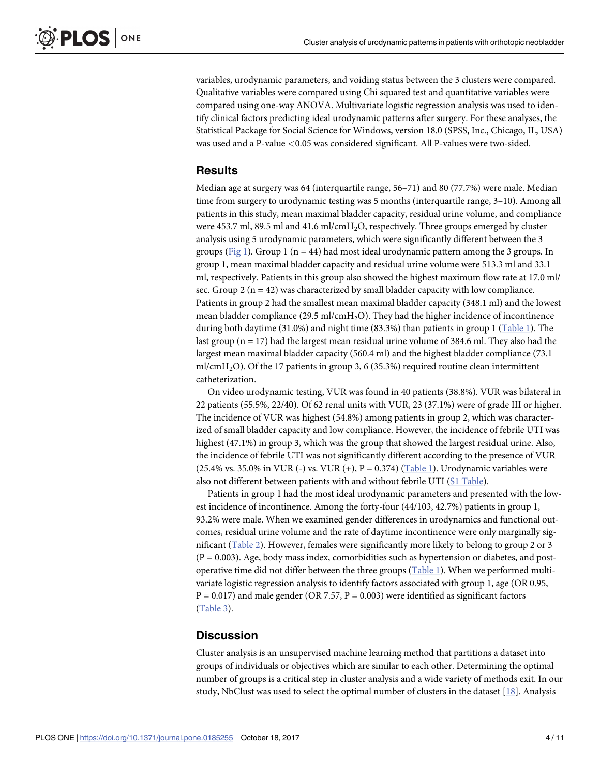<span id="page-3-0"></span>variables, urodynamic parameters, and voiding status between the 3 clusters were compared. Qualitative variables were compared using Chi squared test and quantitative variables were compared using one-way ANOVA. Multivariate logistic regression analysis was used to identify clinical factors predicting ideal urodynamic patterns after surgery. For these analyses, the Statistical Package for Social Science for Windows, version 18.0 (SPSS, Inc., Chicago, IL, USA) was used and a P-value *<*0.05 was considered significant. All P-values were two-sided.

#### **Results**

Median age at surgery was 64 (interquartile range, 56–71) and 80 (77.7%) were male. Median time from surgery to urodynamic testing was 5 months (interquartile range, 3–10). Among all patients in this study, mean maximal bladder capacity, residual urine volume, and compliance were 453.7 ml, 89.5 ml and 41.6 ml/cmH<sub>2</sub>O, respectively. Three groups emerged by cluster analysis using 5 urodynamic parameters, which were significantly different between the 3 groups [\(Fig](#page-4-0) 1). Group 1 ( $n = 44$ ) had most ideal urodynamic pattern among the 3 groups. In group 1, mean maximal bladder capacity and residual urine volume were 513.3 ml and 33.1 ml, respectively. Patients in this group also showed the highest maximum flow rate at 17.0 ml/ sec. Group  $2(n = 42)$  was characterized by small bladder capacity with low compliance. Patients in group 2 had the smallest mean maximal bladder capacity (348.1 ml) and the lowest mean bladder compliance (29.5 ml/cmH<sub>2</sub>O). They had the higher incidence of incontinence during both daytime (31.0%) and night time (83.3%) than patients in group 1 [\(Table](#page-5-0) 1). The last group ( $n = 17$ ) had the largest mean residual urine volume of 384.6 ml. They also had the largest mean maximal bladder capacity (560.4 ml) and the highest bladder compliance (73.1 ml/cmH<sub>2</sub>O). Of the 17 patients in group 3, 6 (35.3%) required routine clean intermittent catheterization.

On video urodynamic testing, VUR was found in 40 patients (38.8%). VUR was bilateral in 22 patients (55.5%, 22/40). Of 62 renal units with VUR, 23 (37.1%) were of grade III or higher. The incidence of VUR was highest (54.8%) among patients in group 2, which was characterized of small bladder capacity and low compliance. However, the incidence of febrile UTI was highest (47.1%) in group 3, which was the group that showed the largest residual urine. Also, the incidence of febrile UTI was not significantly different according to the presence of VUR (25.4% vs. 35.0% in VUR (-) vs. VUR (+),  $P = 0.374$ ) ([Table](#page-5-0) 1). Urodynamic variables were also not different between patients with and without febrile UTI (S1 [Table](#page-8-0)).

Patients in group 1 had the most ideal urodynamic parameters and presented with the lowest incidence of incontinence. Among the forty-four (44/103, 42.7%) patients in group 1, 93.2% were male. When we examined gender differences in urodynamics and functional outcomes, residual urine volume and the rate of daytime incontinence were only marginally significant [\(Table](#page-5-0) 2). However, females were significantly more likely to belong to group 2 or 3  $(P = 0.003)$ . Age, body mass index, comorbidities such as hypertension or diabetes, and postoperative time did not differ between the three groups [\(Table](#page-5-0) 1). When we performed multivariate logistic regression analysis to identify factors associated with group 1, age (OR 0.95,  $P = 0.017$ ) and male gender (OR 7.57,  $P = 0.003$ ) were identified as significant factors [\(Table](#page-6-0) 3).

#### **Discussion**

Cluster analysis is an unsupervised machine learning method that partitions a dataset into groups of individuals or objectives which are similar to each other. Determining the optimal number of groups is a critical step in cluster analysis and a wide variety of methods exit. In our study, NbClust was used to select the optimal number of clusters in the dataset [\[18\]](#page-9-0). Analysis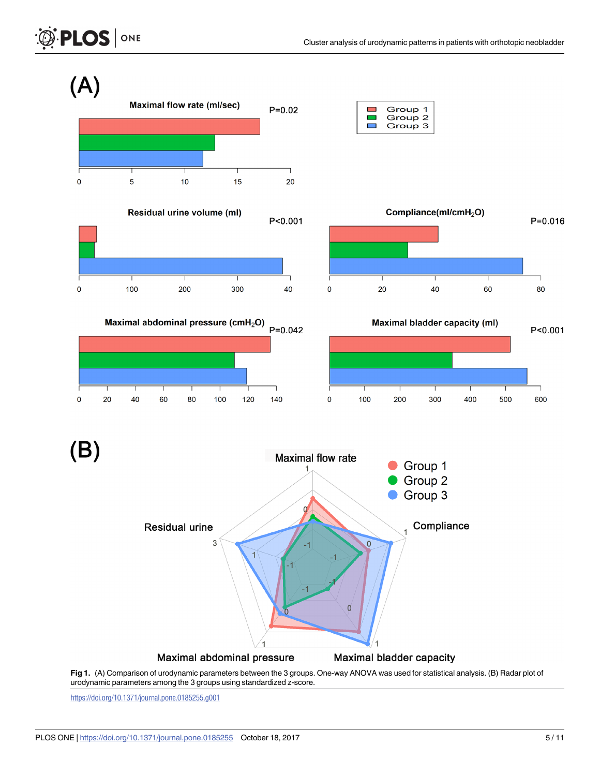<span id="page-4-0"></span> $(A)$ 







Maximal abdominal pressure (cmH<sub>2</sub>O)

80

100

120

140





(B)

 $\pmb{0}$ 

20

40

60



**[Fig](#page-3-0) 1.** (A) Comparison of urodynamic parameters between the 3 groups. One-way ANOVA was used for statistical analysis. (B) Radar plot of urodynamic parameters among the 3 groups using standardized z-score.

<https://doi.org/10.1371/journal.pone.0185255.g001>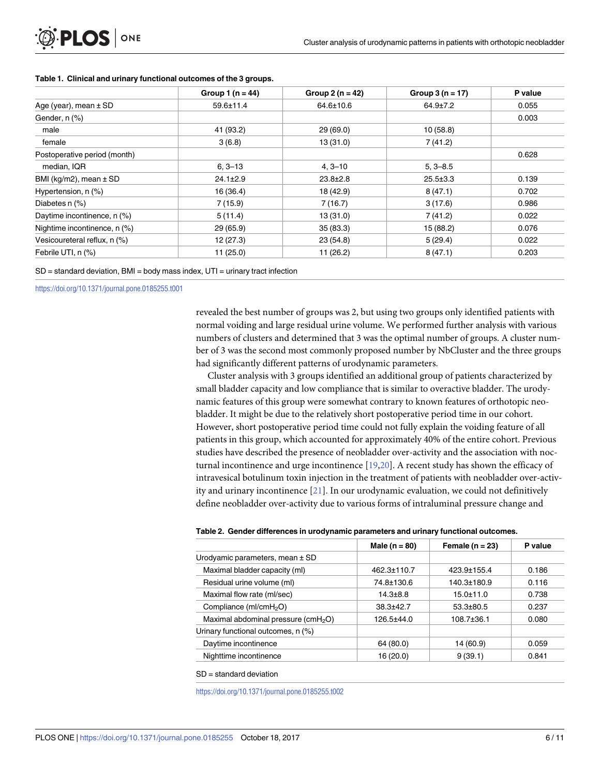|                                | Group 1 ( $n = 44$ ) | Group 2 $(n = 42)$ | Group $3(n = 17)$ | P value |
|--------------------------------|----------------------|--------------------|-------------------|---------|
| Age (year), mean $\pm$ SD      | 59.6±11.4            | 64.6±10.6          | $64.9{\pm}7.2$    | 0.055   |
| Gender, n (%)                  |                      |                    |                   | 0.003   |
| male                           | 41 (93.2)            | 29(69.0)           | 10(58.8)          |         |
| female                         | 3(6.8)               | 13(31.0)           | 7(41.2)           |         |
| Postoperative period (month)   |                      |                    |                   | 0.628   |
| median, IQR                    | $6, 3 - 13$          | $4, 3 - 10$        | $5, 3 - 8.5$      |         |
| BMI ( $kg/m2$ ), mean $\pm$ SD | $24.1 \pm 2.9$       | $23.8 \pm 2.8$     | $25.5 \pm 3.3$    | 0.139   |
| Hypertension, n (%)            | 16(36.4)             | 18 (42.9)          | 8(47.1)           | 0.702   |
| Diabetes n (%)                 | 7(15.9)              | 7(16.7)            | 3(17.6)           | 0.986   |
| Daytime incontinence, n (%)    | 5(11.4)              | 13(31.0)           | 7(41.2)           | 0.022   |
| Nightime incontinence, n (%)   | 29 (65.9)            | 35(83.3)           | 15 (88.2)         | 0.076   |
| Vesicoureteral reflux, n (%)   | 12(27.3)             | 23(54.8)           | 5(29.4)           | 0.022   |
| Febrile UTI, n (%)             | 11(25.0)             | 11(26.2)           | 8(47.1)           | 0.203   |

#### <span id="page-5-0"></span>**[Table](#page-3-0) 1. Clinical and urinary functional outcomes of the 3 groups.**

SD = standard deviation, BMI = body mass index, UTI = urinary tract infection

<https://doi.org/10.1371/journal.pone.0185255.t001>

revealed the best number of groups was 2, but using two groups only identified patients with normal voiding and large residual urine volume. We performed further analysis with various numbers of clusters and determined that 3 was the optimal number of groups. A cluster number of 3 was the second most commonly proposed number by NbCluster and the three groups had significantly different patterns of urodynamic parameters.

Cluster analysis with 3 groups identified an additional group of patients characterized by small bladder capacity and low compliance that is similar to overactive bladder. The urodynamic features of this group were somewhat contrary to known features of orthotopic neobladder. It might be due to the relatively short postoperative period time in our cohort. However, short postoperative period time could not fully explain the voiding feature of all patients in this group, which accounted for approximately 40% of the entire cohort. Previous studies have described the presence of neobladder over-activity and the association with nocturnal incontinence and urge incontinence [\[19,20](#page-9-0)]. A recent study has shown the efficacy of intravesical botulinum toxin injection in the treatment of patients with neobladder over-activity and urinary incontinence [[21](#page-9-0)]. In our urodynamic evaluation, we could not definitively define neobladder over-activity due to various forms of intraluminal pressure change and

|  |  |  |  |  |  |  |  | Table 2. Gender differences in urodynamic parameters and urinary functional outcomes. |
|--|--|--|--|--|--|--|--|---------------------------------------------------------------------------------------|
|--|--|--|--|--|--|--|--|---------------------------------------------------------------------------------------|

|                                                 | Male ( $n = 80$ ) | Female ( $n = 23$ ) | P value |
|-------------------------------------------------|-------------------|---------------------|---------|
| Urodyamic parameters, mean ± SD                 |                   |                     |         |
| Maximal bladder capacity (ml)                   | 462.3±110.7       | 423.9±155.4         | 0.186   |
| Residual urine volume (ml)                      | 74.8±130.6        | 140.3±180.9         | 0.116   |
| Maximal flow rate (ml/sec)                      | $14.3 \pm 8.8$    | $15.0 \pm 11.0$     | 0.738   |
| Compliance (ml/cmH <sub>2</sub> O)              | $38.3 + 42.7$     | $53.3 \pm 80.5$     | 0.237   |
| Maximal abdominal pressure (cmH <sub>2</sub> O) | 126.5±44.0        | $108.7{\pm}36.1$    | 0.080   |
| Urinary functional outcomes, n (%)              |                   |                     |         |
| Daytime incontinence                            | 64 (80.0)         | 14 (60.9)           | 0.059   |
| Nighttime incontinence                          | 16 (20.0)         | 9(39.1)             | 0.841   |

SD = standard deviation

<https://doi.org/10.1371/journal.pone.0185255.t002>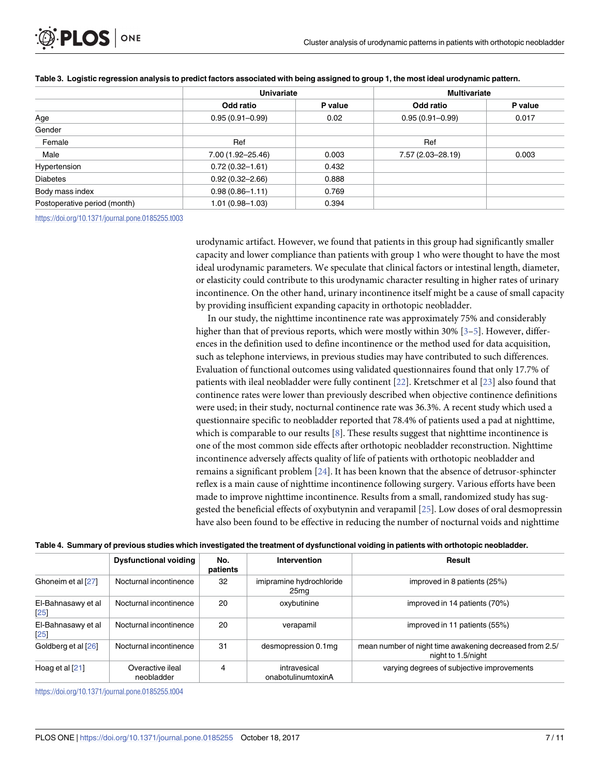<span id="page-6-0"></span>

|                                                     | <b>Univariate</b>   |         | <b>Multivariate</b> |         |  |
|-----------------------------------------------------|---------------------|---------|---------------------|---------|--|
|                                                     | Odd ratio           | P value | Odd ratio           | P value |  |
| Age                                                 | $0.95(0.91 - 0.99)$ | 0.02    | $0.95(0.91 - 0.99)$ | 0.017   |  |
| Gender                                              |                     |         |                     |         |  |
| Female                                              | Ref                 |         | Ref                 |         |  |
| Male                                                | 7.00 (1.92-25.46)   | 0.003   | 7.57 (2.03-28.19)   | 0.003   |  |
| Hypertension                                        | $0.72(0.32 - 1.61)$ | 0.432   |                     |         |  |
| <b>Diabetes</b>                                     | $0.92(0.32 - 2.66)$ | 0.888   |                     |         |  |
| Body mass index                                     | $0.98(0.86 - 1.11)$ | 0.769   |                     |         |  |
| Postoperative period (month)<br>$1.01(0.98 - 1.03)$ |                     | 0.394   |                     |         |  |

#### [Table](#page-3-0) 3. Logistic regression analysis to predict factors associated with being assigned to group 1, the most ideal urodynamic pattern.

<https://doi.org/10.1371/journal.pone.0185255.t003>

urodynamic artifact. However, we found that patients in this group had significantly smaller capacity and lower compliance than patients with group 1 who were thought to have the most ideal urodynamic parameters. We speculate that clinical factors or intestinal length, diameter, or elasticity could contribute to this urodynamic character resulting in higher rates of urinary incontinence. On the other hand, urinary incontinence itself might be a cause of small capacity by providing insufficient expanding capacity in orthotopic neobladder.

In our study, the nighttime incontinence rate was approximately 75% and considerably higher than that of previous reports, which were mostly within 30% [\[3–5\]](#page-8-0). However, differences in the definition used to define incontinence or the method used for data acquisition, such as telephone interviews, in previous studies may have contributed to such differences. Evaluation of functional outcomes using validated questionnaires found that only 17.7% of patients with ileal neobladder were fully continent [[22](#page-9-0)]. Kretschmer et al [\[23\]](#page-9-0) also found that continence rates were lower than previously described when objective continence definitions were used; in their study, nocturnal continence rate was 36.3%. A recent study which used a questionnaire specific to neobladder reported that 78.4% of patients used a pad at nighttime, which is comparable to our results  $[8]$ . These results suggest that nighttime incontinence is one of the most common side effects after orthotopic neobladder reconstruction. Nighttime incontinence adversely affects quality of life of patients with orthotopic neobladder and remains a significant problem [\[24\]](#page-9-0). It has been known that the absence of detrusor-sphincter reflex is a main cause of nighttime incontinence following surgery. Various efforts have been made to improve nighttime incontinence. Results from a small, randomized study has suggested the beneficial effects of oxybutynin and verapamil [\[25\]](#page-9-0). Low doses of oral desmopressin have also been found to be effective in reducing the number of nocturnal voids and nighttime

#### [Table](#page-7-0) 4. Summary of previous studies which investigated the treatment of dysfunctional voiding in patients with orthotopic neobladder.

|                           | <b>Dysfunctional voiding</b>   | No.<br>patients | Intervention                       | Result                                                                        |
|---------------------------|--------------------------------|-----------------|------------------------------------|-------------------------------------------------------------------------------|
| Ghoneim et al [27]        | Nocturnal incontinence         | 32              | imipramine hydrochloride<br>25ma   | improved in 8 patients (25%)                                                  |
| El-Bahnasawy et al<br> 25 | Nocturnal incontinence         | 20              | oxybutinine                        | improved in 14 patients (70%)                                                 |
| El-Bahnasawy et al<br>25  | Nocturnal incontinence         | 20              | verapamil                          | improved in 11 patients (55%)                                                 |
| Goldberg et al [26]       | Nocturnal incontinence         | 31              | desmopression 0.1mg                | mean number of night time awakening decreased from 2.5/<br>night to 1.5/night |
| Hoag et al $[21]$         | Overactive ileal<br>neobladder | 4               | intravesical<br>onabotulinumtoxinA | varying degrees of subjective improvements                                    |

<https://doi.org/10.1371/journal.pone.0185255.t004>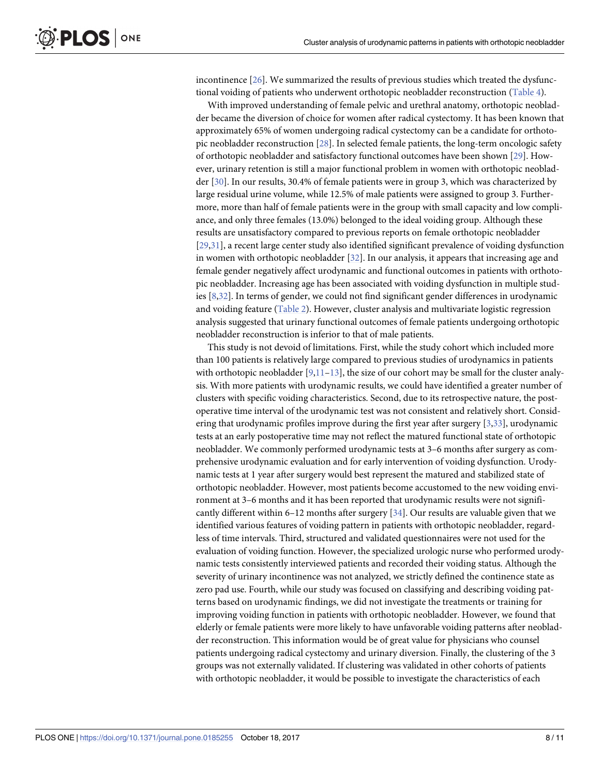<span id="page-7-0"></span>incontinence [[26](#page-9-0)]. We summarized the results of previous studies which treated the dysfunctional voiding of patients who underwent orthotopic neobladder reconstruction ([Table](#page-6-0) 4).

With improved understanding of female pelvic and urethral anatomy, orthotopic neobladder became the diversion of choice for women after radical cystectomy. It has been known that approximately 65% of women undergoing radical cystectomy can be a candidate for orthotopic neobladder reconstruction [\[28\]](#page-10-0). In selected female patients, the long-term oncologic safety of orthotopic neobladder and satisfactory functional outcomes have been shown [\[29\]](#page-10-0). However, urinary retention is still a major functional problem in women with orthotopic neobladder [[30](#page-10-0)]. In our results, 30.4% of female patients were in group 3, which was characterized by large residual urine volume, while 12.5% of male patients were assigned to group 3. Furthermore, more than half of female patients were in the group with small capacity and low compliance, and only three females (13.0%) belonged to the ideal voiding group. Although these results are unsatisfactory compared to previous reports on female orthotopic neobladder [\[29,31\]](#page-10-0), a recent large center study also identified significant prevalence of voiding dysfunction in women with orthotopic neobladder [[32](#page-10-0)]. In our analysis, it appears that increasing age and female gender negatively affect urodynamic and functional outcomes in patients with orthotopic neobladder. Increasing age has been associated with voiding dysfunction in multiple studies [\[8,](#page-9-0)[32\]](#page-10-0). In terms of gender, we could not find significant gender differences in urodynamic and voiding feature [\(Table](#page-5-0) 2). However, cluster analysis and multivariate logistic regression analysis suggested that urinary functional outcomes of female patients undergoing orthotopic neobladder reconstruction is inferior to that of male patients.

This study is not devoid of limitations. First, while the study cohort which included more than 100 patients is relatively large compared to previous studies of urodynamics in patients with orthotopic neobladder [\[9,11–13](#page-9-0)], the size of our cohort may be small for the cluster analysis. With more patients with urodynamic results, we could have identified a greater number of clusters with specific voiding characteristics. Second, due to its retrospective nature, the postoperative time interval of the urodynamic test was not consistent and relatively short. Considering that urodynamic profiles improve during the first year after surgery [\[3](#page-8-0)[,33\]](#page-10-0), urodynamic tests at an early postoperative time may not reflect the matured functional state of orthotopic neobladder. We commonly performed urodynamic tests at 3–6 months after surgery as comprehensive urodynamic evaluation and for early intervention of voiding dysfunction. Urodynamic tests at 1 year after surgery would best represent the matured and stabilized state of orthotopic neobladder. However, most patients become accustomed to the new voiding environment at 3–6 months and it has been reported that urodynamic results were not significantly different within 6–12 months after surgery [\[34\]](#page-10-0). Our results are valuable given that we identified various features of voiding pattern in patients with orthotopic neobladder, regardless of time intervals. Third, structured and validated questionnaires were not used for the evaluation of voiding function. However, the specialized urologic nurse who performed urodynamic tests consistently interviewed patients and recorded their voiding status. Although the severity of urinary incontinence was not analyzed, we strictly defined the continence state as zero pad use. Fourth, while our study was focused on classifying and describing voiding patterns based on urodynamic findings, we did not investigate the treatments or training for improving voiding function in patients with orthotopic neobladder. However, we found that elderly or female patients were more likely to have unfavorable voiding patterns after neobladder reconstruction. This information would be of great value for physicians who counsel patients undergoing radical cystectomy and urinary diversion. Finally, the clustering of the 3 groups was not externally validated. If clustering was validated in other cohorts of patients with orthotopic neobladder, it would be possible to investigate the characteristics of each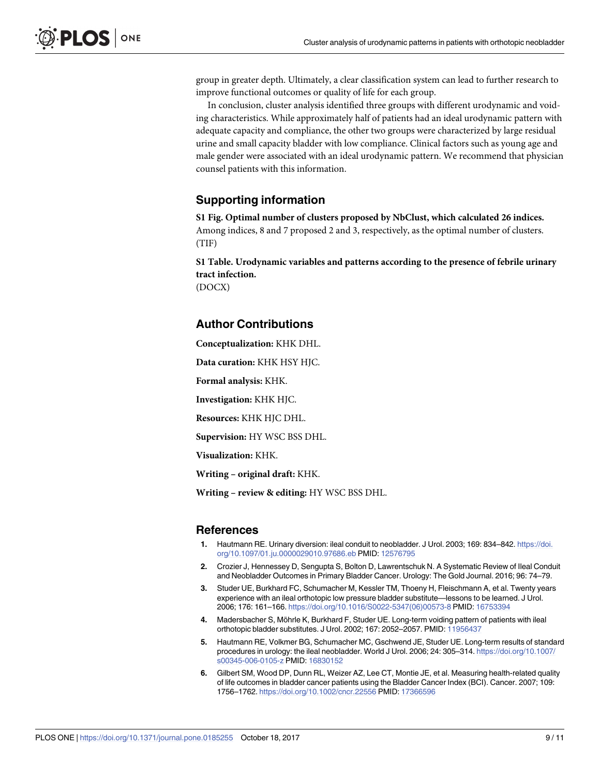<span id="page-8-0"></span>group in greater depth. Ultimately, a clear classification system can lead to further research to improve functional outcomes or quality of life for each group.

In conclusion, cluster analysis identified three groups with different urodynamic and voiding characteristics. While approximately half of patients had an ideal urodynamic pattern with adequate capacity and compliance, the other two groups were characterized by large residual urine and small capacity bladder with low compliance. Clinical factors such as young age and male gender were associated with an ideal urodynamic pattern. We recommend that physician counsel patients with this information.

### **Supporting information**

**S1 [Fig](http://www.plosone.org/article/fetchSingleRepresentation.action?uri=info:doi/10.1371/journal.pone.0185255.s001). Optimal number of clusters proposed by NbClust, which calculated 26 indices.** Among indices, 8 and 7 proposed 2 and 3, respectively, as the optimal number of clusters. (TIF)

**S1 [Table.](http://www.plosone.org/article/fetchSingleRepresentation.action?uri=info:doi/10.1371/journal.pone.0185255.s002) Urodynamic variables and patterns according to the presence of febrile urinary tract infection.** (DOCX)

#### **Author Contributions**

**Conceptualization:** KHK DHL.

**Data curation:** KHK HSY HJC.

**Formal analysis:** KHK.

**Investigation:** KHK HJC.

**Resources:** KHK HJC DHL.

**Supervision:** HY WSC BSS DHL.

**Visualization:** KHK.

**Writing – original draft:** KHK.

**Writing – review & editing:** HY WSC BSS DHL.

#### **References**

- **[1](#page-1-0).** Hautmann RE. Urinary diversion: ileal conduit to neobladder. J Urol. 2003; 169: 834–842. [https://doi.](https://doi.org/10.1097/01.ju.0000029010.97686.eb) [org/10.1097/01.ju.0000029010.97686.eb](https://doi.org/10.1097/01.ju.0000029010.97686.eb) PMID: [12576795](http://www.ncbi.nlm.nih.gov/pubmed/12576795)
- **[2](#page-1-0).** Crozier J, Hennessey D, Sengupta S, Bolton D, Lawrentschuk N. A Systematic Review of Ileal Conduit and Neobladder Outcomes in Primary Bladder Cancer. Urology: The Gold Journal. 2016; 96: 74–79.
- **[3](#page-1-0).** Studer UE, Burkhard FC, Schumacher M, Kessler TM, Thoeny H, Fleischmann A, et al. Twenty years experience with an ileal orthotopic low pressure bladder substitute—lessons to be learned. J Urol. 2006; 176: 161–166. [https://doi.org/10.1016/S0022-5347\(06\)00573-8](https://doi.org/10.1016/S0022-5347(06)00573-8) PMID: [16753394](http://www.ncbi.nlm.nih.gov/pubmed/16753394)
- 4. Madersbacher S, Möhrle K, Burkhard F, Studer UE. Long-term voiding pattern of patients with ileal orthotopic bladder substitutes. J Urol. 2002; 167: 2052–2057. PMID: [11956437](http://www.ncbi.nlm.nih.gov/pubmed/11956437)
- **[5](#page-1-0).** Hautmann RE, Volkmer BG, Schumacher MC, Gschwend JE, Studer UE. Long-term results of standard procedures in urology: the ileal neobladder. World J Urol. 2006; 24: 305–314. [https://doi.org/10.1007/](https://doi.org/10.1007/s00345-006-0105-z) [s00345-006-0105-z](https://doi.org/10.1007/s00345-006-0105-z) PMID: [16830152](http://www.ncbi.nlm.nih.gov/pubmed/16830152)
- **[6](#page-1-0).** Gilbert SM, Wood DP, Dunn RL, Weizer AZ, Lee CT, Montie JE, et al. Measuring health-related quality of life outcomes in bladder cancer patients using the Bladder Cancer Index (BCI). Cancer. 2007; 109: 1756–1762. <https://doi.org/10.1002/cncr.22556> PMID: [17366596](http://www.ncbi.nlm.nih.gov/pubmed/17366596)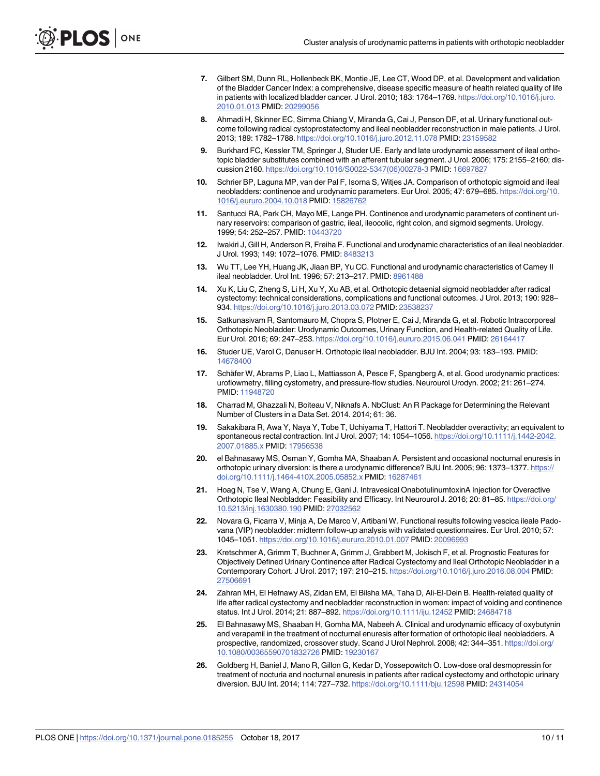- <span id="page-9-0"></span>**7.** Gilbert SM, Dunn RL, Hollenbeck BK, Montie JE, Lee CT, Wood DP, et al. Development and validation of the Bladder Cancer Index: a comprehensive, disease specific measure of health related quality of life in patients with localized bladder cancer. J Urol. 2010; 183: 1764–1769. [https://doi.org/10.1016/j.juro.](https://doi.org/10.1016/j.juro.2010.01.013) [2010.01.013](https://doi.org/10.1016/j.juro.2010.01.013) PMID: [20299056](http://www.ncbi.nlm.nih.gov/pubmed/20299056)
- **[8](#page-1-0).** Ahmadi H, Skinner EC, Simma Chiang V, Miranda G, Cai J, Penson DF, et al. Urinary functional outcome following radical cystoprostatectomy and ileal neobladder reconstruction in male patients. J Urol. 2013; 189: 1782–1788. <https://doi.org/10.1016/j.juro.2012.11.078> PMID: [23159582](http://www.ncbi.nlm.nih.gov/pubmed/23159582)
- **[9](#page-1-0).** Burkhard FC, Kessler TM, Springer J, Studer UE. Early and late urodynamic assessment of ileal orthotopic bladder substitutes combined with an afferent tubular segment. J Urol. 2006; 175: 2155–2160; discussion 2160. [https://doi.org/10.1016/S0022-5347\(06\)00278-3](https://doi.org/10.1016/S0022-5347(06)00278-3) PMID: [16697827](http://www.ncbi.nlm.nih.gov/pubmed/16697827)
- **10.** Schrier BP, Laguna MP, van der Pal F, Isorna S, Witjes JA. Comparison of orthotopic sigmoid and ileal neobladders: continence and urodynamic parameters. Eur Urol. 2005; 47: 679–685. [https://doi.org/10.](https://doi.org/10.1016/j.eururo.2004.10.018) [1016/j.eururo.2004.10.018](https://doi.org/10.1016/j.eururo.2004.10.018) PMID: [15826762](http://www.ncbi.nlm.nih.gov/pubmed/15826762)
- **[11](#page-1-0).** Santucci RA, Park CH, Mayo ME, Lange PH. Continence and urodynamic parameters of continent urinary reservoirs: comparison of gastric, ileal, ileocolic, right colon, and sigmoid segments. Urology. 1999; 54: 252–257. PMID: [10443720](http://www.ncbi.nlm.nih.gov/pubmed/10443720)
- **[12](#page-1-0).** Iwakiri J, Gill H, Anderson R, Freiha F. Functional and urodynamic characteristics of an ileal neobladder. J Urol. 1993; 149: 1072–1076. PMID: [8483213](http://www.ncbi.nlm.nih.gov/pubmed/8483213)
- **[13](#page-7-0).** Wu TT, Lee YH, Huang JK, Jiaan BP, Yu CC. Functional and urodynamic characteristics of Camey II ileal neobladder. Urol Int. 1996; 57: 213–217. PMID: [8961488](http://www.ncbi.nlm.nih.gov/pubmed/8961488)
- **14.** Xu K, Liu C, Zheng S, Li H, Xu Y, Xu AB, et al. Orthotopic detaenial sigmoid neobladder after radical cystectomy: technical considerations, complications and functional outcomes. J Urol. 2013; 190: 928– 934. <https://doi.org/10.1016/j.juro.2013.03.072> PMID: [23538237](http://www.ncbi.nlm.nih.gov/pubmed/23538237)
- **[15](#page-1-0).** Satkunasivam R, Santomauro M, Chopra S, Plotner E, Cai J, Miranda G, et al. Robotic Intracorporeal Orthotopic Neobladder: Urodynamic Outcomes, Urinary Function, and Health-related Quality of Life. Eur Urol. 2016; 69: 247–253. <https://doi.org/10.1016/j.eururo.2015.06.041> PMID: [26164417](http://www.ncbi.nlm.nih.gov/pubmed/26164417)
- **[16](#page-2-0).** Studer UE, Varol C, Danuser H. Orthotopic ileal neobladder. BJU Int. 2004; 93: 183–193. PMID: [14678400](http://www.ncbi.nlm.nih.gov/pubmed/14678400)
- **[17](#page-2-0).** Schäfer W, Abrams P, Liao L, Mattiasson A, Pesce F, Spangberg A, et al. Good urodynamic practices: uroflowmetry, filling cystometry, and pressure-flow studies. Neurourol Urodyn. 2002; 21: 261–274. PMID: [11948720](http://www.ncbi.nlm.nih.gov/pubmed/11948720)
- **[18](#page-2-0).** Charrad M, Ghazzali N, Boiteau V, Niknafs A. NbClust: An R Package for Determining the Relevant Number of Clusters in a Data Set. 2014. 2014; 61: 36.
- **[19](#page-5-0).** Sakakibara R, Awa Y, Naya Y, Tobe T, Uchiyama T, Hattori T. Neobladder overactivity; an equivalent to spontaneous rectal contraction. Int J Urol. 2007; 14: 1054–1056. [https://doi.org/10.1111/j.1442-2042.](https://doi.org/10.1111/j.1442-2042.2007.01885.x) [2007.01885.x](https://doi.org/10.1111/j.1442-2042.2007.01885.x) PMID: [17956538](http://www.ncbi.nlm.nih.gov/pubmed/17956538)
- **[20](#page-5-0).** el Bahnasawy MS, Osman Y, Gomha MA, Shaaban A. Persistent and occasional nocturnal enuresis in orthotopic urinary diversion: is there a urodynamic difference? BJU Int. 2005; 96: 1373–1377. [https://](https://doi.org/10.1111/j.1464-410X.2005.05852.x) [doi.org/10.1111/j.1464-410X.2005.05852.x](https://doi.org/10.1111/j.1464-410X.2005.05852.x) PMID: [16287461](http://www.ncbi.nlm.nih.gov/pubmed/16287461)
- **[21](#page-5-0).** Hoag N, Tse V, Wang A, Chung E, Gani J. Intravesical OnabotulinumtoxinA Injection for Overactive Orthotopic Ileal Neobladder: Feasibility and Efficacy. Int Neurourol J. 2016; 20: 81–85. [https://doi.org/](https://doi.org/10.5213/inj.1630380.190) [10.5213/inj.1630380.190](https://doi.org/10.5213/inj.1630380.190) PMID: [27032562](http://www.ncbi.nlm.nih.gov/pubmed/27032562)
- **[22](#page-6-0).** Novara G, Ficarra V, Minja A, De Marco V, Artibani W. Functional results following vescica ileale Padovana (VIP) neobladder: midterm follow-up analysis with validated questionnaires. Eur Urol. 2010; 57: 1045–1051. <https://doi.org/10.1016/j.eururo.2010.01.007> PMID: [20096993](http://www.ncbi.nlm.nih.gov/pubmed/20096993)
- **[23](#page-6-0).** Kretschmer A, Grimm T, Buchner A, Grimm J, Grabbert M, Jokisch F, et al. Prognostic Features for Objectively Defined Urinary Continence after Radical Cystectomy and Ileal Orthotopic Neobladder in a Contemporary Cohort. J Urol. 2017; 197: 210–215. <https://doi.org/10.1016/j.juro.2016.08.004> PMID: [27506691](http://www.ncbi.nlm.nih.gov/pubmed/27506691)
- **[24](#page-6-0).** Zahran MH, El Hefnawy AS, Zidan EM, El Bilsha MA, Taha D, Ali-El-Dein B. Health-related quality of life after radical cystectomy and neobladder reconstruction in women: impact of voiding and continence status. Int J Urol. 2014; 21: 887–892. <https://doi.org/10.1111/iju.12452> PMID: [24684718](http://www.ncbi.nlm.nih.gov/pubmed/24684718)
- **[25](#page-6-0).** El Bahnasawy MS, Shaaban H, Gomha MA, Nabeeh A. Clinical and urodynamic efficacy of oxybutynin and verapamil in the treatment of nocturnal enuresis after formation of orthotopic ileal neobladders. A prospective, randomized, crossover study. Scand J Urol Nephrol. 2008; 42: 344–351. [https://doi.org/](https://doi.org/10.1080/00365590701832726) [10.1080/00365590701832726](https://doi.org/10.1080/00365590701832726) PMID: [19230167](http://www.ncbi.nlm.nih.gov/pubmed/19230167)
- **[26](#page-6-0).** Goldberg H, Baniel J, Mano R, Gillon G, Kedar D, Yossepowitch O. Low-dose oral desmopressin for treatment of nocturia and nocturnal enuresis in patients after radical cystectomy and orthotopic urinary diversion. BJU Int. 2014; 114: 727–732. <https://doi.org/10.1111/bju.12598> PMID: [24314054](http://www.ncbi.nlm.nih.gov/pubmed/24314054)